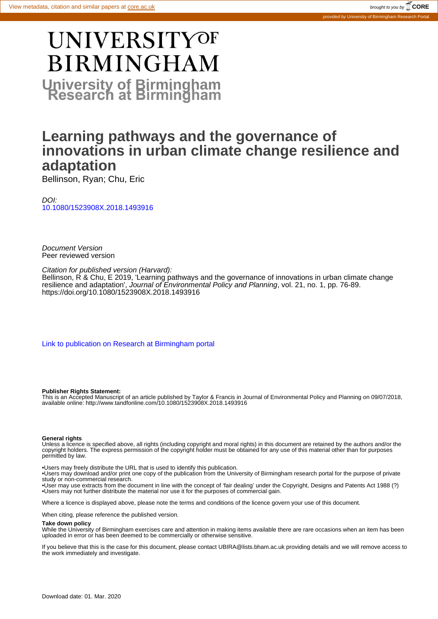# **UNIVERSITYOF BIRMINGHAM University of Birmingham**

# **Learning pathways and the governance of innovations in urban climate change resilience and adaptation**

Bellinson, Ryan; Chu, Eric

DOI: [10.1080/1523908X.2018.1493916](https://doi.org/10.1080/1523908X.2018.1493916)

Document Version Peer reviewed version

Citation for published version (Harvard):

Bellinson, R & Chu, E 2019, 'Learning pathways and the governance of innovations in urban climate change resilience and adaptation', *Journal of Environmental Policy and Planning*, vol. 21, no. 1, pp. 76-89. <https://doi.org/10.1080/1523908X.2018.1493916>

[Link to publication on Research at Birmingham portal](https://research.birmingham.ac.uk/portal/en/publications/learning-pathways-and-the-governance-of-innovations-in-urban-climate-change-resilience-and-adaptation(6f7b701c-cf97-4dfc-9ffe-9fffeb4c383b).html)

#### **Publisher Rights Statement:**

This is an Accepted Manuscript of an article published by Taylor & Francis in Journal of Environmental Policy and Planning on 09/07/2018, available online: http://www.tandfonline.com/10.1080/1523908X.2018.1493916

#### **General rights**

Unless a licence is specified above, all rights (including copyright and moral rights) in this document are retained by the authors and/or the copyright holders. The express permission of the copyright holder must be obtained for any use of this material other than for purposes permitted by law.

• Users may freely distribute the URL that is used to identify this publication.

• Users may download and/or print one copy of the publication from the University of Birmingham research portal for the purpose of private study or non-commercial research.

• User may use extracts from the document in line with the concept of 'fair dealing' under the Copyright, Designs and Patents Act 1988 (?) • Users may not further distribute the material nor use it for the purposes of commercial gain.

Where a licence is displayed above, please note the terms and conditions of the licence govern your use of this document.

When citing, please reference the published version.

#### **Take down policy**

While the University of Birmingham exercises care and attention in making items available there are rare occasions when an item has been uploaded in error or has been deemed to be commercially or otherwise sensitive.

If you believe that this is the case for this document, please contact UBIRA@lists.bham.ac.uk providing details and we will remove access to the work immediately and investigate.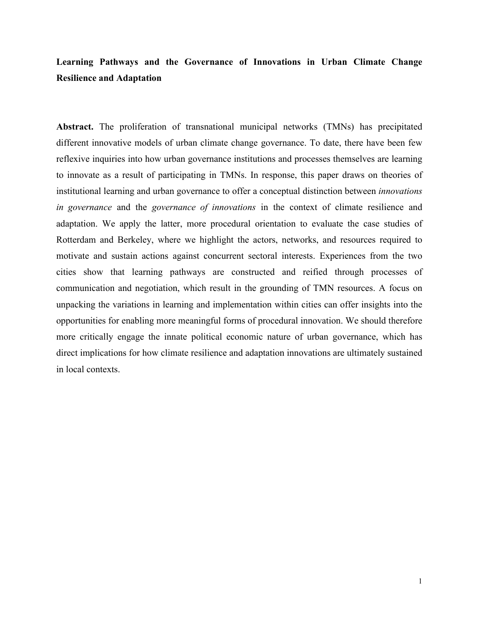# **Learning Pathways and the Governance of Innovations in Urban Climate Change Resilience and Adaptation**

**Abstract.** The proliferation of transnational municipal networks (TMNs) has precipitated different innovative models of urban climate change governance. To date, there have been few reflexive inquiries into how urban governance institutions and processes themselves are learning to innovate as a result of participating in TMNs. In response, this paper draws on theories of institutional learning and urban governance to offer a conceptual distinction between *innovations in governance* and the *governance of innovations* in the context of climate resilience and adaptation. We apply the latter, more procedural orientation to evaluate the case studies of Rotterdam and Berkeley, where we highlight the actors, networks, and resources required to motivate and sustain actions against concurrent sectoral interests. Experiences from the two cities show that learning pathways are constructed and reified through processes of communication and negotiation, which result in the grounding of TMN resources. A focus on unpacking the variations in learning and implementation within cities can offer insights into the opportunities for enabling more meaningful forms of procedural innovation. We should therefore more critically engage the innate political economic nature of urban governance, which has direct implications for how climate resilience and adaptation innovations are ultimately sustained in local contexts.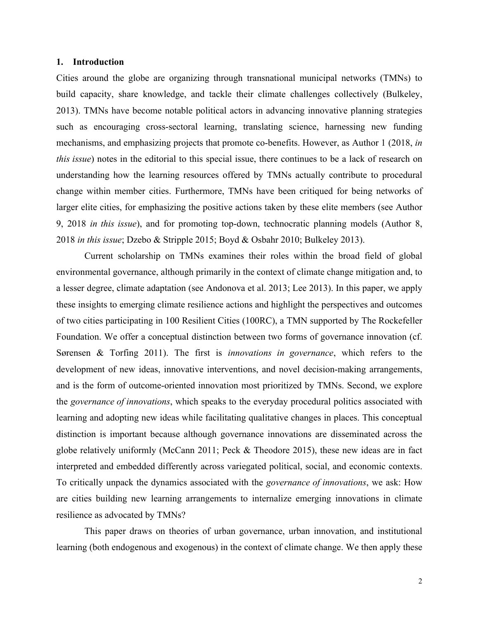#### **1. Introduction**

Cities around the globe are organizing through transnational municipal networks (TMNs) to build capacity, share knowledge, and tackle their climate challenges collectively (Bulkeley, 2013). TMNs have become notable political actors in advancing innovative planning strategies such as encouraging cross-sectoral learning, translating science, harnessing new funding mechanisms, and emphasizing projects that promote co-benefits. However, as Author 1 (2018, *in this issue*) notes in the editorial to this special issue, there continues to be a lack of research on understanding how the learning resources offered by TMNs actually contribute to procedural change within member cities. Furthermore, TMNs have been critiqued for being networks of larger elite cities, for emphasizing the positive actions taken by these elite members (see Author 9, 2018 *in this issue*), and for promoting top-down, technocratic planning models (Author 8, 2018 *in this issue*; Dzebo & Stripple 2015; Boyd & Osbahr 2010; Bulkeley 2013).

Current scholarship on TMNs examines their roles within the broad field of global environmental governance, although primarily in the context of climate change mitigation and, to a lesser degree, climate adaptation (see Andonova et al. 2013; Lee 2013). In this paper, we apply these insights to emerging climate resilience actions and highlight the perspectives and outcomes of two cities participating in 100 Resilient Cities (100RC), a TMN supported by The Rockefeller Foundation. We offer a conceptual distinction between two forms of governance innovation (cf. Sørensen & Torfing 2011). The first is *innovations in governance*, which refers to the development of new ideas, innovative interventions, and novel decision-making arrangements, and is the form of outcome-oriented innovation most prioritized by TMNs. Second, we explore the *governance of innovations*, which speaks to the everyday procedural politics associated with learning and adopting new ideas while facilitating qualitative changes in places. This conceptual distinction is important because although governance innovations are disseminated across the globe relatively uniformly (McCann 2011; Peck & Theodore 2015), these new ideas are in fact interpreted and embedded differently across variegated political, social, and economic contexts. To critically unpack the dynamics associated with the *governance of innovations*, we ask: How are cities building new learning arrangements to internalize emerging innovations in climate resilience as advocated by TMNs?

This paper draws on theories of urban governance, urban innovation, and institutional learning (both endogenous and exogenous) in the context of climate change. We then apply these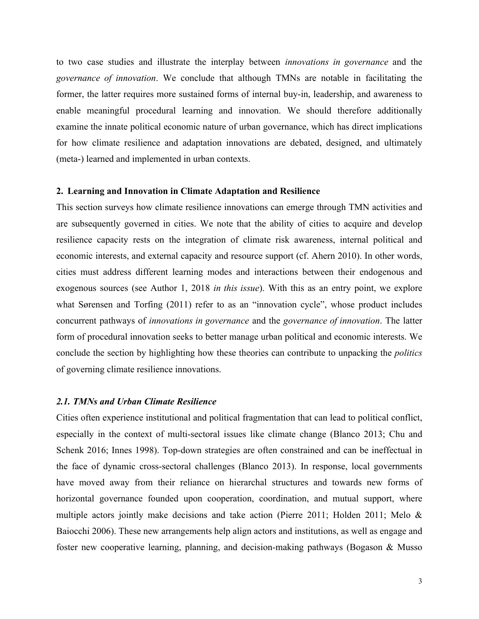to two case studies and illustrate the interplay between *innovations in governance* and the *governance of innovation*. We conclude that although TMNs are notable in facilitating the former, the latter requires more sustained forms of internal buy-in, leadership, and awareness to enable meaningful procedural learning and innovation. We should therefore additionally examine the innate political economic nature of urban governance, which has direct implications for how climate resilience and adaptation innovations are debated, designed, and ultimately (meta-) learned and implemented in urban contexts.

#### **2. Learning and Innovation in Climate Adaptation and Resilience**

This section surveys how climate resilience innovations can emerge through TMN activities and are subsequently governed in cities. We note that the ability of cities to acquire and develop resilience capacity rests on the integration of climate risk awareness, internal political and economic interests, and external capacity and resource support (cf. Ahern 2010). In other words, cities must address different learning modes and interactions between their endogenous and exogenous sources (see Author 1, 2018 *in this issue*). With this as an entry point, we explore what Sørensen and Torfing (2011) refer to as an "innovation cycle", whose product includes concurrent pathways of *innovations in governance* and the *governance of innovation*. The latter form of procedural innovation seeks to better manage urban political and economic interests. We conclude the section by highlighting how these theories can contribute to unpacking the *politics* of governing climate resilience innovations.

## *2.1. TMNs and Urban Climate Resilience*

Cities often experience institutional and political fragmentation that can lead to political conflict, especially in the context of multi-sectoral issues like climate change (Blanco 2013; Chu and Schenk 2016; Innes 1998). Top-down strategies are often constrained and can be ineffectual in the face of dynamic cross-sectoral challenges (Blanco 2013). In response, local governments have moved away from their reliance on hierarchal structures and towards new forms of horizontal governance founded upon cooperation, coordination, and mutual support, where multiple actors jointly make decisions and take action (Pierre 2011; Holden 2011; Melo  $\&$ Baiocchi 2006). These new arrangements help align actors and institutions, as well as engage and foster new cooperative learning, planning, and decision-making pathways (Bogason & Musso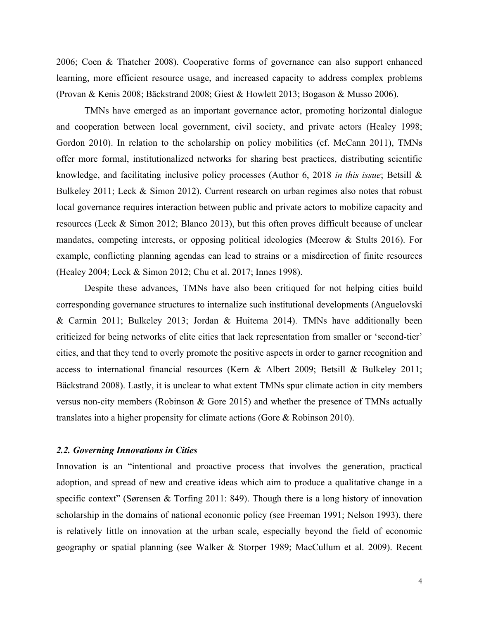2006; Coen & Thatcher 2008). Cooperative forms of governance can also support enhanced learning, more efficient resource usage, and increased capacity to address complex problems (Provan & Kenis 2008; Bäckstrand 2008; Giest & Howlett 2013; Bogason & Musso 2006).

TMNs have emerged as an important governance actor, promoting horizontal dialogue and cooperation between local government, civil society, and private actors (Healey 1998; Gordon 2010). In relation to the scholarship on policy mobilities (cf. McCann 2011), TMNs offer more formal, institutionalized networks for sharing best practices, distributing scientific knowledge, and facilitating inclusive policy processes (Author 6, 2018 *in this issue*; Betsill & Bulkeley 2011; Leck & Simon 2012). Current research on urban regimes also notes that robust local governance requires interaction between public and private actors to mobilize capacity and resources (Leck & Simon 2012; Blanco 2013), but this often proves difficult because of unclear mandates, competing interests, or opposing political ideologies (Meerow & Stults 2016). For example, conflicting planning agendas can lead to strains or a misdirection of finite resources (Healey 2004; Leck & Simon 2012; Chu et al. 2017; Innes 1998).

Despite these advances, TMNs have also been critiqued for not helping cities build corresponding governance structures to internalize such institutional developments (Anguelovski & Carmin 2011; Bulkeley 2013; Jordan & Huitema 2014). TMNs have additionally been criticized for being networks of elite cities that lack representation from smaller or 'second-tier' cities, and that they tend to overly promote the positive aspects in order to garner recognition and access to international financial resources (Kern & Albert 2009; Betsill & Bulkeley 2011; Bäckstrand 2008). Lastly, it is unclear to what extent TMNs spur climate action in city members versus non-city members (Robinson & Gore 2015) and whether the presence of TMNs actually translates into a higher propensity for climate actions (Gore & Robinson 2010).

#### *2.2. Governing Innovations in Cities*

Innovation is an "intentional and proactive process that involves the generation, practical adoption, and spread of new and creative ideas which aim to produce a qualitative change in a specific context" (Sørensen & Torfing 2011: 849). Though there is a long history of innovation scholarship in the domains of national economic policy (see Freeman 1991; Nelson 1993), there is relatively little on innovation at the urban scale, especially beyond the field of economic geography or spatial planning (see Walker & Storper 1989; MacCullum et al. 2009). Recent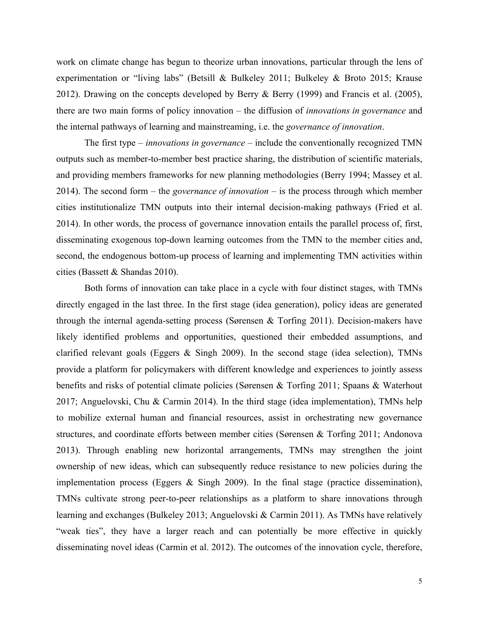work on climate change has begun to theorize urban innovations, particular through the lens of experimentation or "living labs" (Betsill & Bulkeley 2011; Bulkeley & Broto 2015; Krause 2012). Drawing on the concepts developed by Berry & Berry (1999) and Francis et al. (2005), there are two main forms of policy innovation – the diffusion of *innovations in governance* and the internal pathways of learning and mainstreaming, i.e. the *governance of innovation*.

The first type – *innovations in governance* – include the conventionally recognized TMN outputs such as member-to-member best practice sharing, the distribution of scientific materials, and providing members frameworks for new planning methodologies (Berry 1994; Massey et al. 2014). The second form – the *governance of innovation* – is the process through which member cities institutionalize TMN outputs into their internal decision-making pathways (Fried et al. 2014). In other words, the process of governance innovation entails the parallel process of, first, disseminating exogenous top-down learning outcomes from the TMN to the member cities and, second, the endogenous bottom-up process of learning and implementing TMN activities within cities (Bassett & Shandas 2010).

Both forms of innovation can take place in a cycle with four distinct stages, with TMNs directly engaged in the last three. In the first stage (idea generation), policy ideas are generated through the internal agenda-setting process (Sørensen & Torfing 2011). Decision-makers have likely identified problems and opportunities, questioned their embedded assumptions, and clarified relevant goals (Eggers & Singh 2009). In the second stage (idea selection), TMNs provide a platform for policymakers with different knowledge and experiences to jointly assess benefits and risks of potential climate policies (Sørensen & Torfing 2011; Spaans & Waterhout 2017; Anguelovski, Chu & Carmin 2014). In the third stage (idea implementation), TMNs help to mobilize external human and financial resources, assist in orchestrating new governance structures, and coordinate efforts between member cities (Sørensen & Torfing 2011; Andonova 2013). Through enabling new horizontal arrangements, TMNs may strengthen the joint ownership of new ideas, which can subsequently reduce resistance to new policies during the implementation process (Eggers & Singh 2009). In the final stage (practice dissemination), TMNs cultivate strong peer-to-peer relationships as a platform to share innovations through learning and exchanges (Bulkeley 2013; Anguelovski & Carmin 2011). As TMNs have relatively "weak ties", they have a larger reach and can potentially be more effective in quickly disseminating novel ideas (Carmin et al. 2012). The outcomes of the innovation cycle, therefore,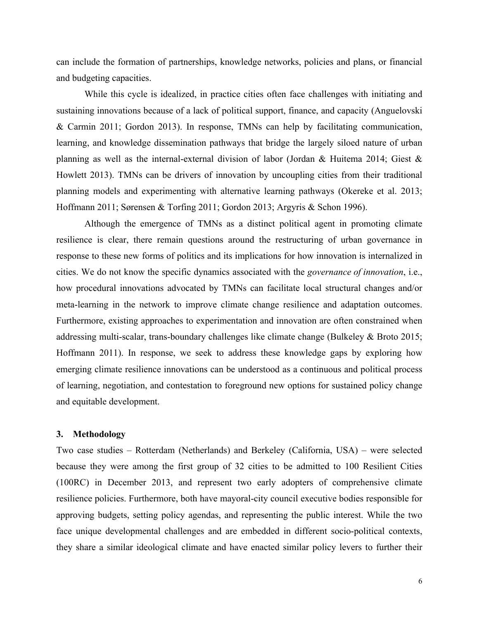can include the formation of partnerships, knowledge networks, policies and plans, or financial and budgeting capacities.

While this cycle is idealized, in practice cities often face challenges with initiating and sustaining innovations because of a lack of political support, finance, and capacity (Anguelovski & Carmin 2011; Gordon 2013). In response, TMNs can help by facilitating communication, learning, and knowledge dissemination pathways that bridge the largely siloed nature of urban planning as well as the internal-external division of labor (Jordan & Huitema 2014; Giest & Howlett 2013). TMNs can be drivers of innovation by uncoupling cities from their traditional planning models and experimenting with alternative learning pathways (Okereke et al. 2013; Hoffmann 2011; Sørensen & Torfing 2011; Gordon 2013; Argyris & Schon 1996).

Although the emergence of TMNs as a distinct political agent in promoting climate resilience is clear, there remain questions around the restructuring of urban governance in response to these new forms of politics and its implications for how innovation is internalized in cities. We do not know the specific dynamics associated with the *governance of innovation*, i.e., how procedural innovations advocated by TMNs can facilitate local structural changes and/or meta-learning in the network to improve climate change resilience and adaptation outcomes. Furthermore, existing approaches to experimentation and innovation are often constrained when addressing multi-scalar, trans-boundary challenges like climate change (Bulkeley & Broto 2015; Hoffmann 2011). In response, we seek to address these knowledge gaps by exploring how emerging climate resilience innovations can be understood as a continuous and political process of learning, negotiation, and contestation to foreground new options for sustained policy change and equitable development.

#### **3. Methodology**

Two case studies – Rotterdam (Netherlands) and Berkeley (California, USA) – were selected because they were among the first group of 32 cities to be admitted to 100 Resilient Cities (100RC) in December 2013, and represent two early adopters of comprehensive climate resilience policies. Furthermore, both have mayoral-city council executive bodies responsible for approving budgets, setting policy agendas, and representing the public interest. While the two face unique developmental challenges and are embedded in different socio-political contexts, they share a similar ideological climate and have enacted similar policy levers to further their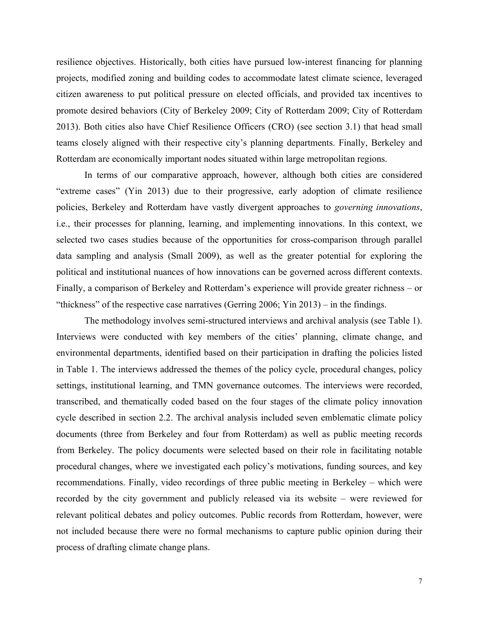resilience objectives. Historically, both cities have pursued low-interest financing for planning projects, modified zoning and building codes to accommodate latest climate science, leveraged citizen awareness to put political pressure on elected officials, and provided tax incentives to promote desired behaviors (City of Berkeley 2009; City of Rotterdam 2009; City of Rotterdam 2013). Both cities also have Chief Resilience Officers (CRO) (see section 3.1) that head small teams closely aligned with their respective city's planning departments. Finally, Berkeley and Rotterdam are economically important nodes situated within large metropolitan regions.

In terms of our comparative approach, however, although both cities are considered "extreme cases" (Yin 2013) due to their progressive, early adoption of climate resilience policies, Berkeley and Rotterdam have vastly divergent approaches to *governing innovations*, i.e., their processes for planning, learning, and implementing innovations. In this context, we selected two cases studies because of the opportunities for cross-comparison through parallel data sampling and analysis (Small 2009), as well as the greater potential for exploring the political and institutional nuances of how innovations can be governed across different contexts. Finally, a comparison of Berkeley and Rotterdam's experience will provide greater richness – or "thickness" of the respective case narratives (Gerring 2006; Yin 2013) – in the findings.

The methodology involves semi-structured interviews and archival analysis (see Table 1). Interviews were conducted with key members of the cities' planning, climate change, and environmental departments, identified based on their participation in drafting the policies listed in Table 1. The interviews addressed the themes of the policy cycle, procedural changes, policy settings, institutional learning, and TMN governance outcomes. The interviews were recorded, transcribed, and thematically coded based on the four stages of the climate policy innovation cycle described in section 2.2. The archival analysis included seven emblematic climate policy documents (three from Berkeley and four from Rotterdam) as well as public meeting records from Berkeley. The policy documents were selected based on their role in facilitating notable procedural changes, where we investigated each policy's motivations, funding sources, and key recommendations. Finally, video recordings of three public meeting in Berkeley – which were recorded by the city government and publicly released via its website – were reviewed for relevant political debates and policy outcomes. Public records from Rotterdam, however, were not included because there were no formal mechanisms to capture public opinion during their process of drafting climate change plans.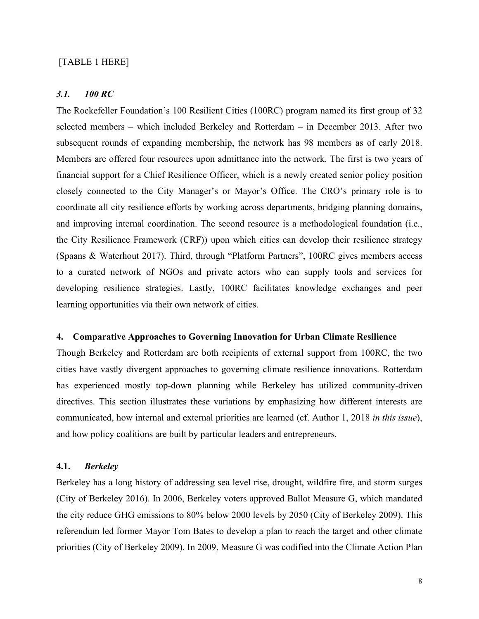#### [TABLE 1 HERE]

#### *3.1. 100 RC*

The Rockefeller Foundation's 100 Resilient Cities (100RC) program named its first group of 32 selected members – which included Berkeley and Rotterdam – in December 2013. After two subsequent rounds of expanding membership, the network has 98 members as of early 2018. Members are offered four resources upon admittance into the network. The first is two years of financial support for a Chief Resilience Officer, which is a newly created senior policy position closely connected to the City Manager's or Mayor's Office. The CRO's primary role is to coordinate all city resilience efforts by working across departments, bridging planning domains, and improving internal coordination. The second resource is a methodological foundation (i.e., the City Resilience Framework (CRF)) upon which cities can develop their resilience strategy (Spaans & Waterhout 2017). Third, through "Platform Partners", 100RC gives members access to a curated network of NGOs and private actors who can supply tools and services for developing resilience strategies. Lastly, 100RC facilitates knowledge exchanges and peer learning opportunities via their own network of cities.

#### **4. Comparative Approaches to Governing Innovation for Urban Climate Resilience**

Though Berkeley and Rotterdam are both recipients of external support from 100RC, the two cities have vastly divergent approaches to governing climate resilience innovations. Rotterdam has experienced mostly top-down planning while Berkeley has utilized community-driven directives. This section illustrates these variations by emphasizing how different interests are communicated, how internal and external priorities are learned (cf. Author 1, 2018 *in this issue*), and how policy coalitions are built by particular leaders and entrepreneurs.

## **4.1.** *Berkeley*

Berkeley has a long history of addressing sea level rise, drought, wildfire fire, and storm surges (City of Berkeley 2016). In 2006, Berkeley voters approved Ballot Measure G, which mandated the city reduce GHG emissions to 80% below 2000 levels by 2050 (City of Berkeley 2009). This referendum led former Mayor Tom Bates to develop a plan to reach the target and other climate priorities (City of Berkeley 2009). In 2009, Measure G was codified into the Climate Action Plan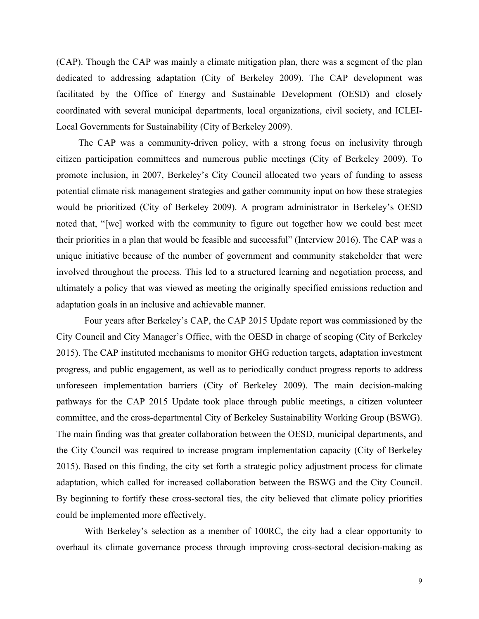(CAP). Though the CAP was mainly a climate mitigation plan, there was a segment of the plan dedicated to addressing adaptation (City of Berkeley 2009). The CAP development was facilitated by the Office of Energy and Sustainable Development (OESD) and closely coordinated with several municipal departments, local organizations, civil society, and ICLEI-Local Governments for Sustainability (City of Berkeley 2009).

The CAP was a community-driven policy, with a strong focus on inclusivity through citizen participation committees and numerous public meetings (City of Berkeley 2009). To promote inclusion, in 2007, Berkeley's City Council allocated two years of funding to assess potential climate risk management strategies and gather community input on how these strategies would be prioritized (City of Berkeley 2009). A program administrator in Berkeley's OESD noted that, "[we] worked with the community to figure out together how we could best meet their priorities in a plan that would be feasible and successful" (Interview 2016). The CAP was a unique initiative because of the number of government and community stakeholder that were involved throughout the process. This led to a structured learning and negotiation process, and ultimately a policy that was viewed as meeting the originally specified emissions reduction and adaptation goals in an inclusive and achievable manner.

Four years after Berkeley's CAP, the CAP 2015 Update report was commissioned by the City Council and City Manager's Office, with the OESD in charge of scoping (City of Berkeley 2015). The CAP instituted mechanisms to monitor GHG reduction targets, adaptation investment progress, and public engagement, as well as to periodically conduct progress reports to address unforeseen implementation barriers (City of Berkeley 2009). The main decision-making pathways for the CAP 2015 Update took place through public meetings, a citizen volunteer committee, and the cross-departmental City of Berkeley Sustainability Working Group (BSWG). The main finding was that greater collaboration between the OESD, municipal departments, and the City Council was required to increase program implementation capacity (City of Berkeley 2015). Based on this finding, the city set forth a strategic policy adjustment process for climate adaptation, which called for increased collaboration between the BSWG and the City Council. By beginning to fortify these cross-sectoral ties, the city believed that climate policy priorities could be implemented more effectively.

With Berkeley's selection as a member of 100RC, the city had a clear opportunity to overhaul its climate governance process through improving cross-sectoral decision-making as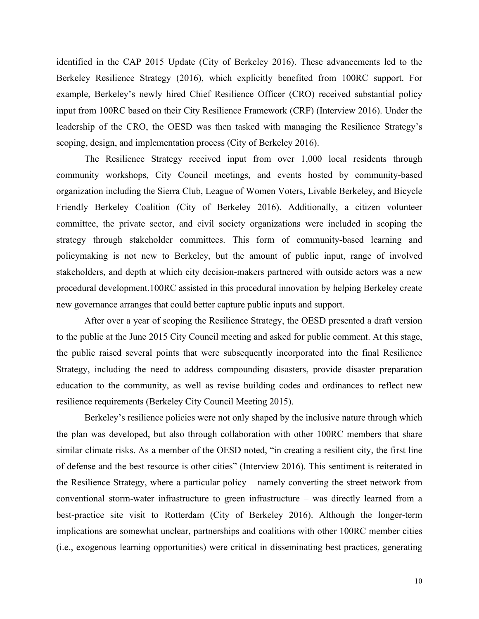identified in the CAP 2015 Update (City of Berkeley 2016). These advancements led to the Berkeley Resilience Strategy (2016), which explicitly benefited from 100RC support. For example, Berkeley's newly hired Chief Resilience Officer (CRO) received substantial policy input from 100RC based on their City Resilience Framework (CRF) (Interview 2016). Under the leadership of the CRO, the OESD was then tasked with managing the Resilience Strategy's scoping, design, and implementation process (City of Berkeley 2016).

The Resilience Strategy received input from over 1,000 local residents through community workshops, City Council meetings, and events hosted by community-based organization including the Sierra Club, League of Women Voters, Livable Berkeley, and Bicycle Friendly Berkeley Coalition (City of Berkeley 2016). Additionally, a citizen volunteer committee, the private sector, and civil society organizations were included in scoping the strategy through stakeholder committees. This form of community-based learning and policymaking is not new to Berkeley, but the amount of public input, range of involved stakeholders, and depth at which city decision-makers partnered with outside actors was a new procedural development.100RC assisted in this procedural innovation by helping Berkeley create new governance arranges that could better capture public inputs and support.

After over a year of scoping the Resilience Strategy, the OESD presented a draft version to the public at the June 2015 City Council meeting and asked for public comment. At this stage, the public raised several points that were subsequently incorporated into the final Resilience Strategy, including the need to address compounding disasters, provide disaster preparation education to the community, as well as revise building codes and ordinances to reflect new resilience requirements (Berkeley City Council Meeting 2015).

Berkeley's resilience policies were not only shaped by the inclusive nature through which the plan was developed, but also through collaboration with other 100RC members that share similar climate risks. As a member of the OESD noted, "in creating a resilient city, the first line of defense and the best resource is other cities" (Interview 2016). This sentiment is reiterated in the Resilience Strategy, where a particular policy – namely converting the street network from conventional storm-water infrastructure to green infrastructure – was directly learned from a best-practice site visit to Rotterdam (City of Berkeley 2016). Although the longer-term implications are somewhat unclear, partnerships and coalitions with other 100RC member cities (i.e., exogenous learning opportunities) were critical in disseminating best practices, generating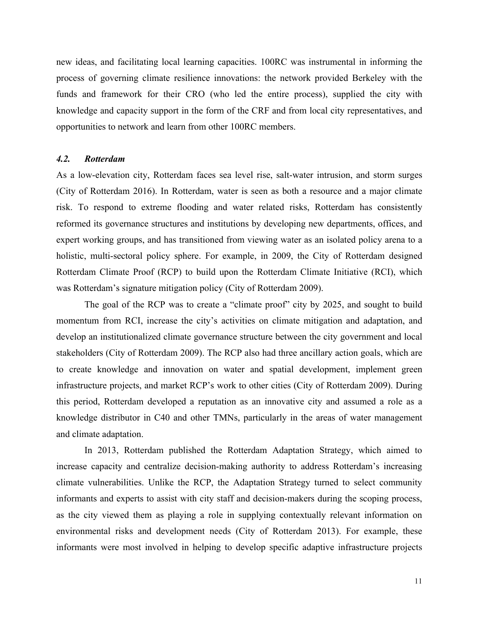new ideas, and facilitating local learning capacities. 100RC was instrumental in informing the process of governing climate resilience innovations: the network provided Berkeley with the funds and framework for their CRO (who led the entire process), supplied the city with knowledge and capacity support in the form of the CRF and from local city representatives, and opportunities to network and learn from other 100RC members.

#### *4.2. Rotterdam*

As a low-elevation city, Rotterdam faces sea level rise, salt-water intrusion, and storm surges (City of Rotterdam 2016). In Rotterdam, water is seen as both a resource and a major climate risk. To respond to extreme flooding and water related risks, Rotterdam has consistently reformed its governance structures and institutions by developing new departments, offices, and expert working groups, and has transitioned from viewing water as an isolated policy arena to a holistic, multi-sectoral policy sphere. For example, in 2009, the City of Rotterdam designed Rotterdam Climate Proof (RCP) to build upon the Rotterdam Climate Initiative (RCI), which was Rotterdam's signature mitigation policy (City of Rotterdam 2009).

The goal of the RCP was to create a "climate proof" city by 2025, and sought to build momentum from RCI, increase the city's activities on climate mitigation and adaptation, and develop an institutionalized climate governance structure between the city government and local stakeholders (City of Rotterdam 2009). The RCP also had three ancillary action goals, which are to create knowledge and innovation on water and spatial development, implement green infrastructure projects, and market RCP's work to other cities (City of Rotterdam 2009). During this period, Rotterdam developed a reputation as an innovative city and assumed a role as a knowledge distributor in C40 and other TMNs, particularly in the areas of water management and climate adaptation.

In 2013, Rotterdam published the Rotterdam Adaptation Strategy, which aimed to increase capacity and centralize decision-making authority to address Rotterdam's increasing climate vulnerabilities. Unlike the RCP, the Adaptation Strategy turned to select community informants and experts to assist with city staff and decision-makers during the scoping process, as the city viewed them as playing a role in supplying contextually relevant information on environmental risks and development needs (City of Rotterdam 2013). For example, these informants were most involved in helping to develop specific adaptive infrastructure projects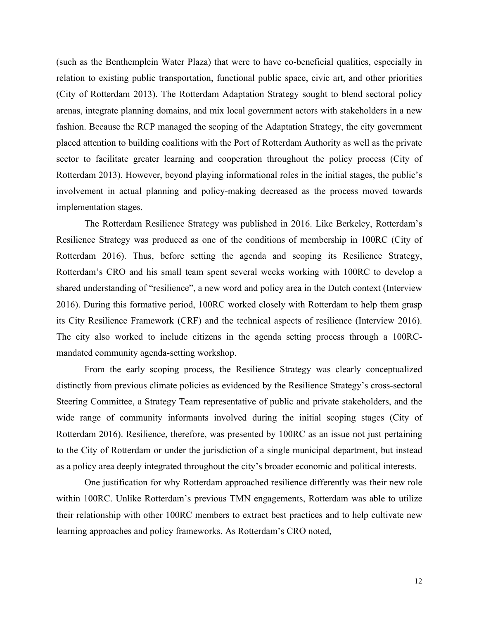(such as the Benthemplein Water Plaza) that were to have co-beneficial qualities, especially in relation to existing public transportation, functional public space, civic art, and other priorities (City of Rotterdam 2013). The Rotterdam Adaptation Strategy sought to blend sectoral policy arenas, integrate planning domains, and mix local government actors with stakeholders in a new fashion. Because the RCP managed the scoping of the Adaptation Strategy, the city government placed attention to building coalitions with the Port of Rotterdam Authority as well as the private sector to facilitate greater learning and cooperation throughout the policy process (City of Rotterdam 2013). However, beyond playing informational roles in the initial stages, the public's involvement in actual planning and policy-making decreased as the process moved towards implementation stages.

The Rotterdam Resilience Strategy was published in 2016. Like Berkeley, Rotterdam's Resilience Strategy was produced as one of the conditions of membership in 100RC (City of Rotterdam 2016). Thus, before setting the agenda and scoping its Resilience Strategy, Rotterdam's CRO and his small team spent several weeks working with 100RC to develop a shared understanding of "resilience", a new word and policy area in the Dutch context (Interview 2016). During this formative period, 100RC worked closely with Rotterdam to help them grasp its City Resilience Framework (CRF) and the technical aspects of resilience (Interview 2016). The city also worked to include citizens in the agenda setting process through a 100RCmandated community agenda-setting workshop.

From the early scoping process, the Resilience Strategy was clearly conceptualized distinctly from previous climate policies as evidenced by the Resilience Strategy's cross-sectoral Steering Committee, a Strategy Team representative of public and private stakeholders, and the wide range of community informants involved during the initial scoping stages (City of Rotterdam 2016). Resilience, therefore, was presented by 100RC as an issue not just pertaining to the City of Rotterdam or under the jurisdiction of a single municipal department, but instead as a policy area deeply integrated throughout the city's broader economic and political interests.

One justification for why Rotterdam approached resilience differently was their new role within 100RC. Unlike Rotterdam's previous TMN engagements, Rotterdam was able to utilize their relationship with other 100RC members to extract best practices and to help cultivate new learning approaches and policy frameworks. As Rotterdam's CRO noted,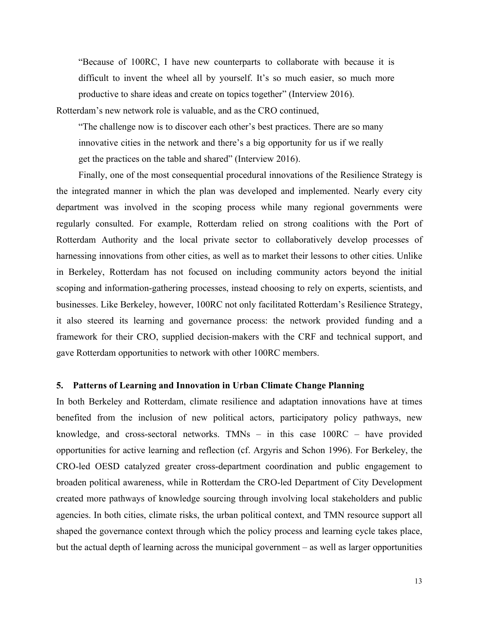"Because of 100RC, I have new counterparts to collaborate with because it is difficult to invent the wheel all by yourself. It's so much easier, so much more productive to share ideas and create on topics together" (Interview 2016).

Rotterdam's new network role is valuable, and as the CRO continued,

"The challenge now is to discover each other's best practices. There are so many innovative cities in the network and there's a big opportunity for us if we really get the practices on the table and shared" (Interview 2016).

Finally, one of the most consequential procedural innovations of the Resilience Strategy is the integrated manner in which the plan was developed and implemented. Nearly every city department was involved in the scoping process while many regional governments were regularly consulted. For example, Rotterdam relied on strong coalitions with the Port of Rotterdam Authority and the local private sector to collaboratively develop processes of harnessing innovations from other cities, as well as to market their lessons to other cities. Unlike in Berkeley, Rotterdam has not focused on including community actors beyond the initial scoping and information-gathering processes, instead choosing to rely on experts, scientists, and businesses. Like Berkeley, however, 100RC not only facilitated Rotterdam's Resilience Strategy, it also steered its learning and governance process: the network provided funding and a framework for their CRO, supplied decision-makers with the CRF and technical support, and gave Rotterdam opportunities to network with other 100RC members.

#### **5. Patterns of Learning and Innovation in Urban Climate Change Planning**

In both Berkeley and Rotterdam, climate resilience and adaptation innovations have at times benefited from the inclusion of new political actors, participatory policy pathways, new knowledge, and cross-sectoral networks. TMNs – in this case 100RC – have provided opportunities for active learning and reflection (cf. Argyris and Schon 1996). For Berkeley, the CRO-led OESD catalyzed greater cross-department coordination and public engagement to broaden political awareness, while in Rotterdam the CRO-led Department of City Development created more pathways of knowledge sourcing through involving local stakeholders and public agencies. In both cities, climate risks, the urban political context, and TMN resource support all shaped the governance context through which the policy process and learning cycle takes place, but the actual depth of learning across the municipal government – as well as larger opportunities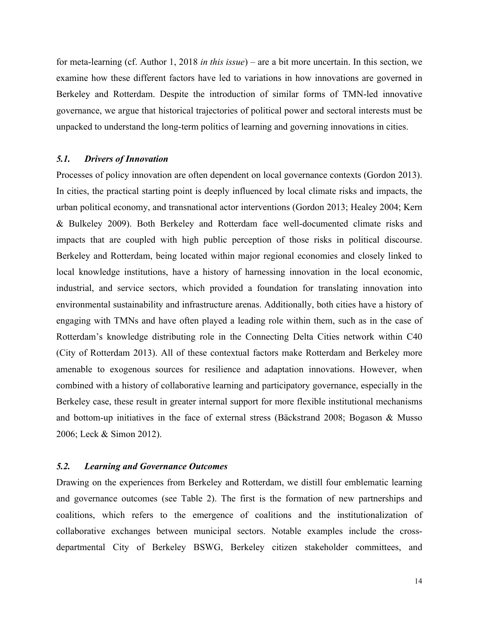for meta-learning (cf. Author 1, 2018 *in this issue*) – are a bit more uncertain. In this section, we examine how these different factors have led to variations in how innovations are governed in Berkeley and Rotterdam. Despite the introduction of similar forms of TMN-led innovative governance, we argue that historical trajectories of political power and sectoral interests must be unpacked to understand the long-term politics of learning and governing innovations in cities.

#### *5.1. Drivers of Innovation*

Processes of policy innovation are often dependent on local governance contexts (Gordon 2013). In cities, the practical starting point is deeply influenced by local climate risks and impacts, the urban political economy, and transnational actor interventions (Gordon 2013; Healey 2004; Kern & Bulkeley 2009). Both Berkeley and Rotterdam face well-documented climate risks and impacts that are coupled with high public perception of those risks in political discourse. Berkeley and Rotterdam, being located within major regional economies and closely linked to local knowledge institutions, have a history of harnessing innovation in the local economic, industrial, and service sectors, which provided a foundation for translating innovation into environmental sustainability and infrastructure arenas. Additionally, both cities have a history of engaging with TMNs and have often played a leading role within them, such as in the case of Rotterdam's knowledge distributing role in the Connecting Delta Cities network within C40 (City of Rotterdam 2013). All of these contextual factors make Rotterdam and Berkeley more amenable to exogenous sources for resilience and adaptation innovations. However, when combined with a history of collaborative learning and participatory governance, especially in the Berkeley case, these result in greater internal support for more flexible institutional mechanisms and bottom-up initiatives in the face of external stress (Bäckstrand 2008; Bogason & Musso 2006; Leck & Simon 2012).

#### *5.2. Learning and Governance Outcomes*

Drawing on the experiences from Berkeley and Rotterdam, we distill four emblematic learning and governance outcomes (see Table 2). The first is the formation of new partnerships and coalitions, which refers to the emergence of coalitions and the institutionalization of collaborative exchanges between municipal sectors. Notable examples include the crossdepartmental City of Berkeley BSWG, Berkeley citizen stakeholder committees, and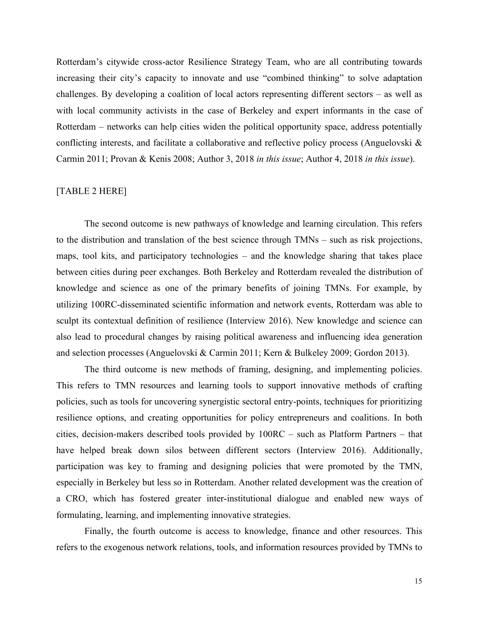Rotterdam's citywide cross-actor Resilience Strategy Team, who are all contributing towards increasing their city's capacity to innovate and use "combined thinking" to solve adaptation challenges. By developing a coalition of local actors representing different sectors – as well as with local community activists in the case of Berkeley and expert informants in the case of Rotterdam – networks can help cities widen the political opportunity space, address potentially conflicting interests, and facilitate a collaborative and reflective policy process (Anguelovski & Carmin 2011; Provan & Kenis 2008; Author 3, 2018 *in this issue*; Author 4, 2018 *in this issue*).

#### [TABLE 2 HERE]

The second outcome is new pathways of knowledge and learning circulation. This refers to the distribution and translation of the best science through TMNs – such as risk projections, maps, tool kits, and participatory technologies – and the knowledge sharing that takes place between cities during peer exchanges. Both Berkeley and Rotterdam revealed the distribution of knowledge and science as one of the primary benefits of joining TMNs. For example, by utilizing 100RC-disseminated scientific information and network events, Rotterdam was able to sculpt its contextual definition of resilience (Interview 2016). New knowledge and science can also lead to procedural changes by raising political awareness and influencing idea generation and selection processes (Anguelovski & Carmin 2011; Kern & Bulkeley 2009; Gordon 2013).

The third outcome is new methods of framing, designing, and implementing policies. This refers to TMN resources and learning tools to support innovative methods of crafting policies, such as tools for uncovering synergistic sectoral entry-points, techniques for prioritizing resilience options, and creating opportunities for policy entrepreneurs and coalitions. In both cities, decision-makers described tools provided by 100RC – such as Platform Partners – that have helped break down silos between different sectors (Interview 2016). Additionally, participation was key to framing and designing policies that were promoted by the TMN, especially in Berkeley but less so in Rotterdam. Another related development was the creation of a CRO, which has fostered greater inter-institutional dialogue and enabled new ways of formulating, learning, and implementing innovative strategies.

Finally, the fourth outcome is access to knowledge, finance and other resources. This refers to the exogenous network relations, tools, and information resources provided by TMNs to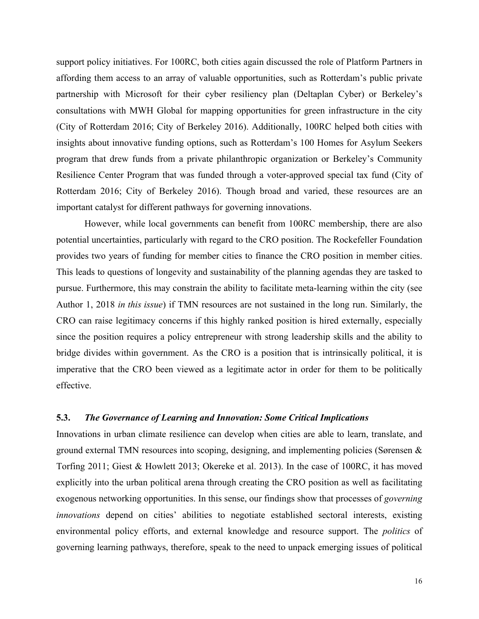support policy initiatives. For 100RC, both cities again discussed the role of Platform Partners in affording them access to an array of valuable opportunities, such as Rotterdam's public private partnership with Microsoft for their cyber resiliency plan (Deltaplan Cyber) or Berkeley's consultations with MWH Global for mapping opportunities for green infrastructure in the city (City of Rotterdam 2016; City of Berkeley 2016). Additionally, 100RC helped both cities with insights about innovative funding options, such as Rotterdam's 100 Homes for Asylum Seekers program that drew funds from a private philanthropic organization or Berkeley's Community Resilience Center Program that was funded through a voter-approved special tax fund (City of Rotterdam 2016; City of Berkeley 2016). Though broad and varied, these resources are an important catalyst for different pathways for governing innovations.

However, while local governments can benefit from 100RC membership, there are also potential uncertainties, particularly with regard to the CRO position. The Rockefeller Foundation provides two years of funding for member cities to finance the CRO position in member cities. This leads to questions of longevity and sustainability of the planning agendas they are tasked to pursue. Furthermore, this may constrain the ability to facilitate meta-learning within the city (see Author 1, 2018 *in this issue*) if TMN resources are not sustained in the long run. Similarly, the CRO can raise legitimacy concerns if this highly ranked position is hired externally, especially since the position requires a policy entrepreneur with strong leadership skills and the ability to bridge divides within government. As the CRO is a position that is intrinsically political, it is imperative that the CRO been viewed as a legitimate actor in order for them to be politically effective.

#### **5.3.** *The Governance of Learning and Innovation: Some Critical Implications*

Innovations in urban climate resilience can develop when cities are able to learn, translate, and ground external TMN resources into scoping, designing, and implementing policies (Sørensen & Torfing 2011; Giest & Howlett 2013; Okereke et al. 2013). In the case of 100RC, it has moved explicitly into the urban political arena through creating the CRO position as well as facilitating exogenous networking opportunities. In this sense, our findings show that processes of *governing innovations* depend on cities' abilities to negotiate established sectoral interests, existing environmental policy efforts, and external knowledge and resource support. The *politics* of governing learning pathways, therefore, speak to the need to unpack emerging issues of political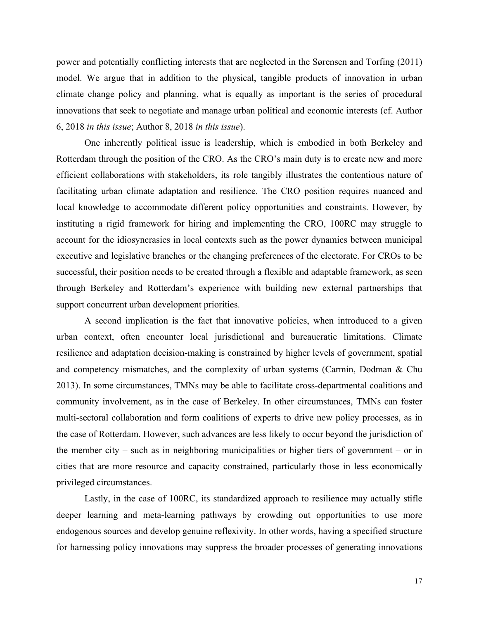power and potentially conflicting interests that are neglected in the Sørensen and Torfing (2011) model. We argue that in addition to the physical, tangible products of innovation in urban climate change policy and planning, what is equally as important is the series of procedural innovations that seek to negotiate and manage urban political and economic interests (cf. Author 6, 2018 *in this issue*; Author 8, 2018 *in this issue*).

One inherently political issue is leadership, which is embodied in both Berkeley and Rotterdam through the position of the CRO. As the CRO's main duty is to create new and more efficient collaborations with stakeholders, its role tangibly illustrates the contentious nature of facilitating urban climate adaptation and resilience. The CRO position requires nuanced and local knowledge to accommodate different policy opportunities and constraints. However, by instituting a rigid framework for hiring and implementing the CRO, 100RC may struggle to account for the idiosyncrasies in local contexts such as the power dynamics between municipal executive and legislative branches or the changing preferences of the electorate. For CROs to be successful, their position needs to be created through a flexible and adaptable framework, as seen through Berkeley and Rotterdam's experience with building new external partnerships that support concurrent urban development priorities.

A second implication is the fact that innovative policies, when introduced to a given urban context, often encounter local jurisdictional and bureaucratic limitations. Climate resilience and adaptation decision-making is constrained by higher levels of government, spatial and competency mismatches, and the complexity of urban systems (Carmin, Dodman & Chu 2013). In some circumstances, TMNs may be able to facilitate cross-departmental coalitions and community involvement, as in the case of Berkeley. In other circumstances, TMNs can foster multi-sectoral collaboration and form coalitions of experts to drive new policy processes, as in the case of Rotterdam. However, such advances are less likely to occur beyond the jurisdiction of the member city – such as in neighboring municipalities or higher tiers of government – or in cities that are more resource and capacity constrained, particularly those in less economically privileged circumstances.

Lastly, in the case of 100RC, its standardized approach to resilience may actually stifle deeper learning and meta-learning pathways by crowding out opportunities to use more endogenous sources and develop genuine reflexivity. In other words, having a specified structure for harnessing policy innovations may suppress the broader processes of generating innovations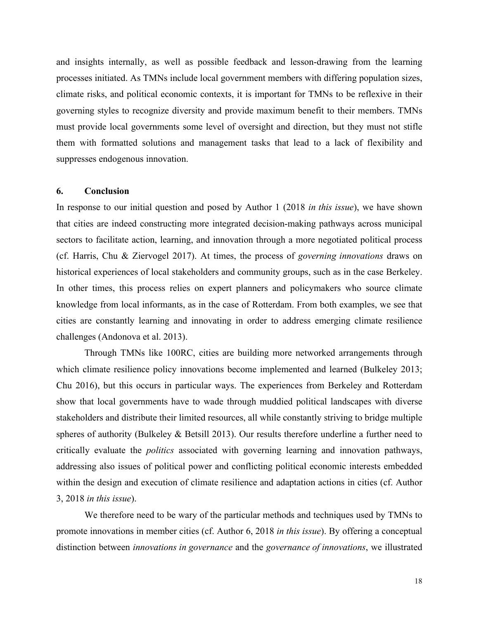and insights internally, as well as possible feedback and lesson-drawing from the learning processes initiated. As TMNs include local government members with differing population sizes, climate risks, and political economic contexts, it is important for TMNs to be reflexive in their governing styles to recognize diversity and provide maximum benefit to their members. TMNs must provide local governments some level of oversight and direction, but they must not stifle them with formatted solutions and management tasks that lead to a lack of flexibility and suppresses endogenous innovation.

#### **6. Conclusion**

In response to our initial question and posed by Author 1 (2018 *in this issue*), we have shown that cities are indeed constructing more integrated decision-making pathways across municipal sectors to facilitate action, learning, and innovation through a more negotiated political process (cf. Harris, Chu & Ziervogel 2017). At times, the process of *governing innovations* draws on historical experiences of local stakeholders and community groups, such as in the case Berkeley. In other times, this process relies on expert planners and policymakers who source climate knowledge from local informants, as in the case of Rotterdam. From both examples, we see that cities are constantly learning and innovating in order to address emerging climate resilience challenges (Andonova et al. 2013).

Through TMNs like 100RC, cities are building more networked arrangements through which climate resilience policy innovations become implemented and learned (Bulkeley 2013; Chu 2016), but this occurs in particular ways. The experiences from Berkeley and Rotterdam show that local governments have to wade through muddied political landscapes with diverse stakeholders and distribute their limited resources, all while constantly striving to bridge multiple spheres of authority (Bulkeley & Betsill 2013). Our results therefore underline a further need to critically evaluate the *politics* associated with governing learning and innovation pathways, addressing also issues of political power and conflicting political economic interests embedded within the design and execution of climate resilience and adaptation actions in cities (cf. Author 3, 2018 *in this issue*).

We therefore need to be wary of the particular methods and techniques used by TMNs to promote innovations in member cities (cf. Author 6, 2018 *in this issue*). By offering a conceptual distinction between *innovations in governance* and the *governance of innovations*, we illustrated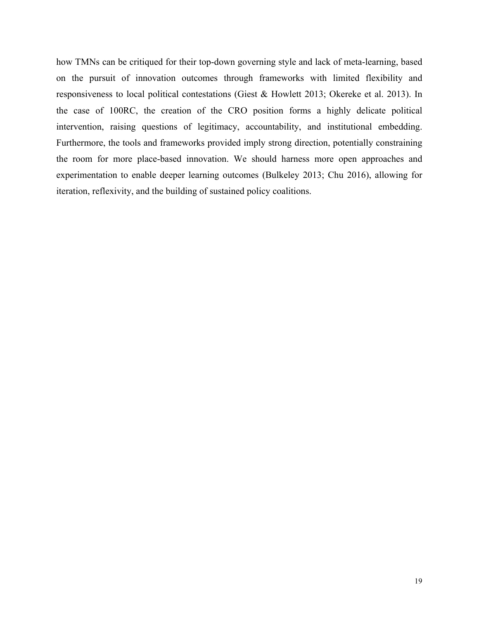how TMNs can be critiqued for their top-down governing style and lack of meta-learning, based on the pursuit of innovation outcomes through frameworks with limited flexibility and responsiveness to local political contestations (Giest & Howlett 2013; Okereke et al. 2013). In the case of 100RC, the creation of the CRO position forms a highly delicate political intervention, raising questions of legitimacy, accountability, and institutional embedding. Furthermore, the tools and frameworks provided imply strong direction, potentially constraining the room for more place-based innovation. We should harness more open approaches and experimentation to enable deeper learning outcomes (Bulkeley 2013; Chu 2016), allowing for iteration, reflexivity, and the building of sustained policy coalitions.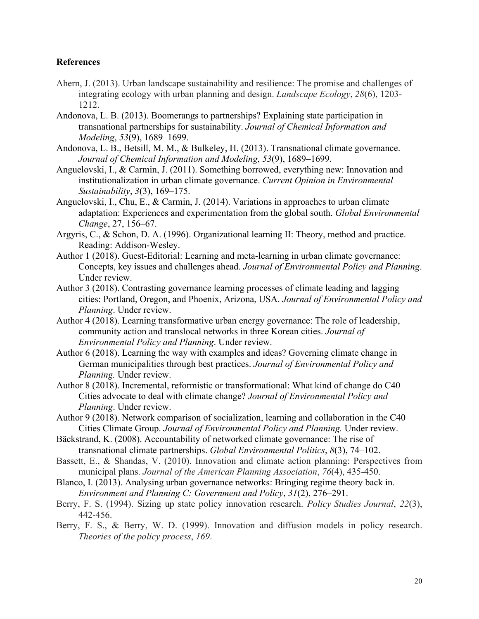### **References**

- Ahern, J. (2013). Urban landscape sustainability and resilience: The promise and challenges of integrating ecology with urban planning and design. *Landscape Ecology*, *28*(6), 1203- 1212.
- Andonova, L. B. (2013). Boomerangs to partnerships? Explaining state participation in transnational partnerships for sustainability. *Journal of Chemical Information and Modeling*, *53*(9), 1689–1699.
- Andonova, L. B., Betsill, M. M., & Bulkeley, H. (2013). Transnational climate governance. *Journal of Chemical Information and Modeling*, *53*(9), 1689–1699.
- Anguelovski, I., & Carmin, J. (2011). Something borrowed, everything new: Innovation and institutionalization in urban climate governance. *Current Opinion in Environmental Sustainability*, *3*(3), 169–175.
- Anguelovski, I., Chu, E., & Carmin, J. (2014). Variations in approaches to urban climate adaptation: Experiences and experimentation from the global south. *Global Environmental Change*, 27, 156–67.
- Argyris, C., & Schon, D. A. (1996). Organizational learning II: Theory, method and practice. Reading: Addison-Wesley.
- Author 1 (2018). Guest-Editorial: Learning and meta-learning in urban climate governance: Concepts, key issues and challenges ahead. *Journal of Environmental Policy and Planning*. Under review.
- Author 3 (2018). Contrasting governance learning processes of climate leading and lagging cities: Portland, Oregon, and Phoenix, Arizona, USA. *Journal of Environmental Policy and Planning*. Under review.
- Author 4 (2018). Learning transformative urban energy governance: The role of leadership, community action and translocal networks in three Korean cities. *Journal of Environmental Policy and Planning*. Under review.
- Author 6 (2018). Learning the way with examples and ideas? Governing climate change in German municipalities through best practices. *Journal of Environmental Policy and Planning.* Under review.
- Author 8 (2018). Incremental, reformistic or transformational: What kind of change do C40 Cities advocate to deal with climate change? *Journal of Environmental Policy and Planning*. Under review.
- Author 9 (2018). Network comparison of socialization, learning and collaboration in the C40 Cities Climate Group. *Journal of Environmental Policy and Planning.* Under review.
- Bäckstrand, K. (2008). Accountability of networked climate governance: The rise of transnational climate partnerships. *Global Environmental Politics*, *8*(3), 74–102.
- Bassett, E., & Shandas, V. (2010). Innovation and climate action planning: Perspectives from municipal plans. *Journal of the American Planning Association*, *76*(4), 435-450.
- Blanco, I. (2013). Analysing urban governance networks: Bringing regime theory back in. *Environment and Planning C: Government and Policy*, *31*(2), 276–291.
- Berry, F. S. (1994). Sizing up state policy innovation research. *Policy Studies Journal*, *22*(3), 442-456.
- Berry, F. S., & Berry, W. D. (1999). Innovation and diffusion models in policy research. *Theories of the policy process*, *169*.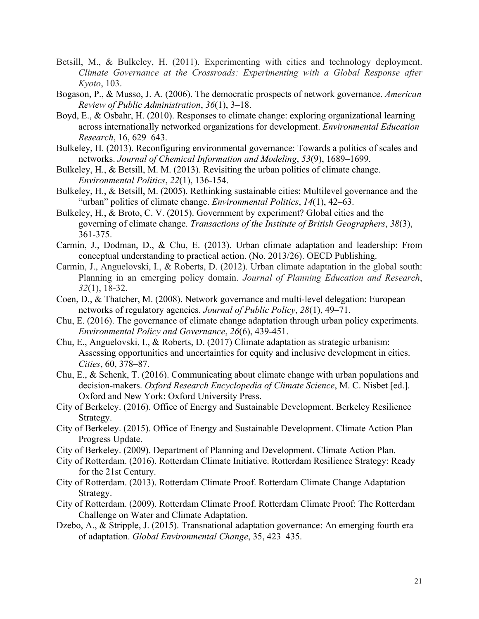- Betsill, M., & Bulkeley, H. (2011). Experimenting with cities and technology deployment. *Climate Governance at the Crossroads: Experimenting with a Global Response after Kyoto*, 103.
- Bogason, P., & Musso, J. A. (2006). The democratic prospects of network governance. *American Review of Public Administration*, *36*(1), 3–18.
- Boyd, E., & Osbahr, H. (2010). Responses to climate change: exploring organizational learning across internationally networked organizations for development. *Environmental Education Research*, 16, 629–643.
- Bulkeley, H. (2013). Reconfiguring environmental governance: Towards a politics of scales and networks. *Journal of Chemical Information and Modeling*, *53*(9), 1689–1699.
- Bulkeley, H., & Betsill, M. M. (2013). Revisiting the urban politics of climate change. *Environmental Politics*, *22*(1), 136-154.
- Bulkeley, H., & Betsill, M. (2005). Rethinking sustainable cities: Multilevel governance and the "urban" politics of climate change. *Environmental Politics*, *14*(1), 42–63.
- Bulkeley, H., & Broto, C. V. (2015). Government by experiment? Global cities and the governing of climate change. *Transactions of the Institute of British Geographers*, *38*(3), 361-375.
- Carmin, J., Dodman, D., & Chu, E. (2013). Urban climate adaptation and leadership: From conceptual understanding to practical action. (No. 2013/26). OECD Publishing.
- Carmin, J., Anguelovski, I., & Roberts, D. (2012). Urban climate adaptation in the global south: Planning in an emerging policy domain. *Journal of Planning Education and Research*, *32*(1), 18-32.
- Coen, D., & Thatcher, M. (2008). Network governance and multi-level delegation: European networks of regulatory agencies. *Journal of Public Policy*, *28*(1), 49–71.
- Chu, E. (2016). The governance of climate change adaptation through urban policy experiments. *Environmental Policy and Governance*, *26*(6), 439-451.
- Chu, E., Anguelovski, I., & Roberts, D. (2017) Climate adaptation as strategic urbanism: Assessing opportunities and uncertainties for equity and inclusive development in cities. *Cities*, 60, 378–87.
- Chu, E., & Schenk, T. (2016). Communicating about climate change with urban populations and decision-makers. *Oxford Research Encyclopedia of Climate Science*, M. C. Nisbet [ed.]. Oxford and New York: Oxford University Press.
- City of Berkeley. (2016). Office of Energy and Sustainable Development. Berkeley Resilience Strategy.
- City of Berkeley. (2015). Office of Energy and Sustainable Development. Climate Action Plan Progress Update.
- City of Berkeley. (2009). Department of Planning and Development. Climate Action Plan.
- City of Rotterdam. (2016). Rotterdam Climate Initiative. Rotterdam Resilience Strategy: Ready for the 21st Century.
- City of Rotterdam. (2013). Rotterdam Climate Proof. Rotterdam Climate Change Adaptation Strategy.
- City of Rotterdam. (2009). Rotterdam Climate Proof. Rotterdam Climate Proof: The Rotterdam Challenge on Water and Climate Adaptation.
- Dzebo, A., & Stripple, J. (2015). Transnational adaptation governance: An emerging fourth era of adaptation. *Global Environmental Change*, 35, 423–435.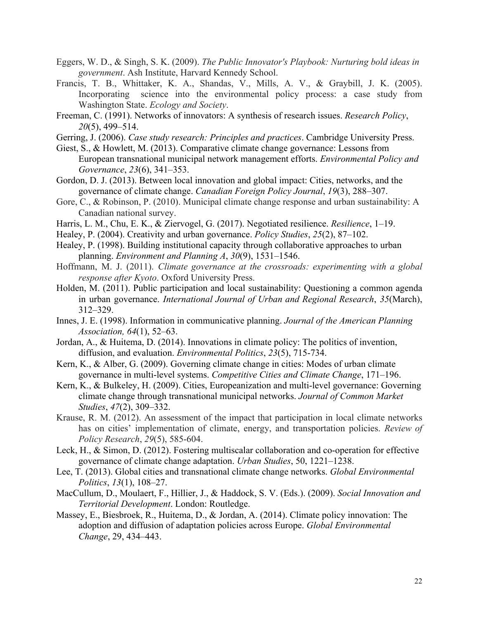- Eggers, W. D., & Singh, S. K. (2009). *The Public Innovator's Playbook: Nurturing bold ideas in government*. Ash Institute, Harvard Kennedy School.
- Francis, T. B., Whittaker, K. A., Shandas, V., Mills, A. V., & Graybill, J. K. (2005). Incorporating science into the environmental policy process: a case study from Washington State. *Ecology and Society*.
- Freeman, C. (1991). Networks of innovators: A synthesis of research issues. *Research Policy*, *20*(5), 499–514.
- Gerring, J. (2006). *Case study research: Principles and practices*. Cambridge University Press.
- Giest, S., & Howlett, M. (2013). Comparative climate change governance: Lessons from European transnational municipal network management efforts. *Environmental Policy and Governance*, *23*(6), 341–353.
- Gordon, D. J. (2013). Between local innovation and global impact: Cities, networks, and the governance of climate change. *Canadian Foreign Policy Journal*, *19*(3), 288–307.
- Gore, C., & Robinson, P. (2010). Municipal climate change response and urban sustainability: A Canadian national survey.
- Harris, L. M., Chu, E. K., & Ziervogel, G. (2017). Negotiated resilience. *Resilience*, 1–19.
- Healey, P. (2004). Creativity and urban governance. *Policy Studies*, *25*(2), 87–102.
- Healey, P. (1998). Building institutional capacity through collaborative approaches to urban planning. *Environment and Planning A*, *30*(9), 1531–1546.
- Hoffmann, M. J. (2011). *Climate governance at the crossroads: experimenting with a global response after Kyoto*. Oxford University Press.
- Holden, M. (2011). Public participation and local sustainability: Questioning a common agenda in urban governance. *International Journal of Urban and Regional Research*, *35*(March), 312–329.
- Innes, J. E. (1998). Information in communicative planning. *Journal of the American Planning Association, 64*(1), 52–63.
- Jordan, A., & Huitema, D. (2014). Innovations in climate policy: The politics of invention, diffusion, and evaluation. *Environmental Politics*, *23*(5), 715-734.
- Kern, K., & Alber, G. (2009). Governing climate change in cities: Modes of urban climate governance in multi-level systems. *Competitive Cities and Climate Change*, 171–196.
- Kern, K., & Bulkeley, H. (2009). Cities, Europeanization and multi-level governance: Governing climate change through transnational municipal networks. *Journal of Common Market Studies*, *47*(2), 309–332.
- Krause, R. M. (2012). An assessment of the impact that participation in local climate networks has on cities' implementation of climate, energy, and transportation policies. *Review of Policy Research*, *29*(5), 585-604.
- Leck, H., & Simon, D. (2012). Fostering multiscalar collaboration and co-operation for effective governance of climate change adaptation. *Urban Studies*, 50, 1221–1238.
- Lee, T. (2013). Global cities and transnational climate change networks. *Global Environmental Politics*, *13*(1), 108–27.
- MacCullum, D., Moulaert, F., Hillier, J., & Haddock, S. V. (Eds.). (2009). *Social Innovation and Territorial Development*. London: Routledge.
- Massey, E., Biesbroek, R., Huitema, D., & Jordan, A. (2014). Climate policy innovation: The adoption and diffusion of adaptation policies across Europe. *Global Environmental Change*, 29, 434–443.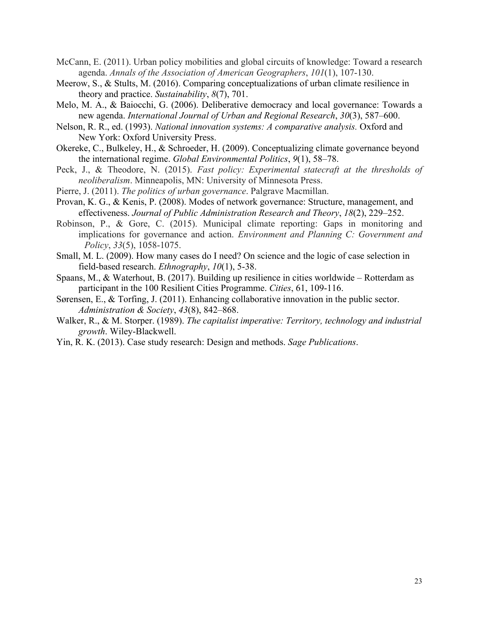- McCann, E. (2011). Urban policy mobilities and global circuits of knowledge: Toward a research agenda. *Annals of the Association of American Geographers*, *101*(1), 107-130.
- Meerow, S., & Stults, M. (2016). Comparing conceptualizations of urban climate resilience in theory and practice. *Sustainability*, *8*(7), 701.
- Melo, M. A., & Baiocchi, G. (2006). Deliberative democracy and local governance: Towards a new agenda. *International Journal of Urban and Regional Research*, *30*(3), 587–600.
- Nelson, R. R., ed. (1993). *National innovation systems: A comparative analysis.* Oxford and New York: Oxford University Press.
- Okereke, C., Bulkeley, H., & Schroeder, H. (2009). Conceptualizing climate governance beyond the international regime. *Global Environmental Politics*, *9*(1), 58–78.
- Peck, J., & Theodore, N. (2015). *Fast policy: Experimental statecraft at the thresholds of neoliberalism*. Minneapolis, MN: University of Minnesota Press.
- Pierre, J. (2011). *The politics of urban governance*. Palgrave Macmillan.
- Provan, K. G., & Kenis, P. (2008). Modes of network governance: Structure, management, and effectiveness. *Journal of Public Administration Research and Theory*, *18*(2), 229–252.
- Robinson, P., & Gore, C. (2015). Municipal climate reporting: Gaps in monitoring and implications for governance and action. *Environment and Planning C: Government and Policy*, *33*(5), 1058-1075.
- Small, M. L. (2009). How many cases do I need? On science and the logic of case selection in field-based research. *Ethnography*, *10*(1), 5-38.
- Spaans, M., & Waterhout, B. (2017). Building up resilience in cities worldwide Rotterdam as participant in the 100 Resilient Cities Programme. *Cities*, 61, 109-116.
- Sørensen, E., & Torfing, J. (2011). Enhancing collaborative innovation in the public sector. *Administration & Society*, *43*(8), 842–868.
- Walker, R., & M. Storper. (1989). *The capitalist imperative: Territory, technology and industrial growth*. Wiley-Blackwell.
- Yin, R. K. (2013). Case study research: Design and methods. *Sage Publications*.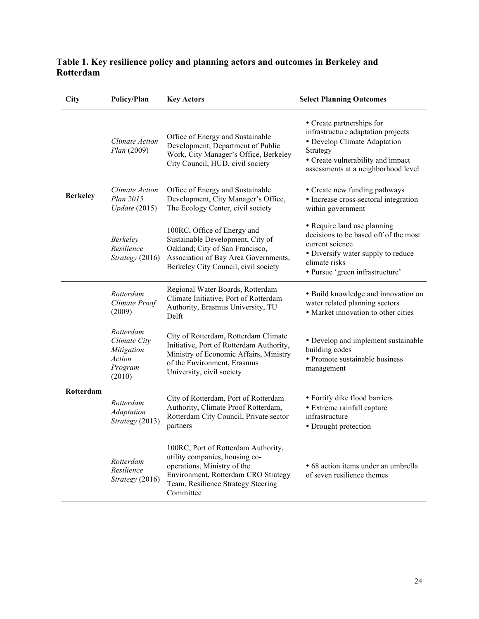### **Table 1. Key resilience policy and planning actors and outcomes in Berkeley and Rotterdam**

| City            | Policy/Plan                                                            | <b>Key Actors</b>                                                                                                                                                                              | <b>Select Planning Outcomes</b>                                                                                                                                                         |
|-----------------|------------------------------------------------------------------------|------------------------------------------------------------------------------------------------------------------------------------------------------------------------------------------------|-----------------------------------------------------------------------------------------------------------------------------------------------------------------------------------------|
| <b>Berkeley</b> | Climate Action<br>Plan (2009)                                          | Office of Energy and Sustainable<br>Development, Department of Public<br>Work, City Manager's Office, Berkeley<br>City Council, HUD, civil society                                             | • Create partnerships for<br>infrastructure adaptation projects<br>• Develop Climate Adaptation<br>Strategy<br>• Create vulnerability and impact<br>assessments at a neighborhood level |
|                 | Climate Action<br>Plan 2015<br>Update(2015)                            | Office of Energy and Sustainable<br>Development, City Manager's Office,<br>The Ecology Center, civil society                                                                                   | • Create new funding pathways<br>• Increase cross-sectoral integration<br>within government                                                                                             |
|                 | <b>Berkeley</b><br>Resilience<br>Strategy (2016)                       | 100RC, Office of Energy and<br>Sustainable Development, City of<br>Oakland; City of San Francisco,<br>Association of Bay Area Governments,<br>Berkeley City Council, civil society             | • Require land use planning<br>decisions to be based off of the most<br>current science<br>• Diversify water supply to reduce<br>climate risks<br>· Pursue 'green infrastructure'       |
| Rotterdam       | Rotterdam<br>Climate Proof<br>(2009)                                   | Regional Water Boards, Rotterdam<br>Climate Initiative, Port of Rotterdam<br>Authority, Erasmus University, TU<br>Delft                                                                        | · Build knowledge and innovation on<br>water related planning sectors<br>• Market innovation to other cities                                                                            |
|                 | Rotterdam<br>Climate City<br>Mitigation<br>Action<br>Program<br>(2010) | City of Rotterdam, Rotterdam Climate<br>Initiative, Port of Rotterdam Authority,<br>Ministry of Economic Affairs, Ministry<br>of the Environment, Erasmus<br>University, civil society         | • Develop and implement sustainable<br>building codes<br>• Promote sustainable business<br>management                                                                                   |
|                 | Rotterdam<br>Adaptation<br>Strategy (2013)                             | City of Rotterdam, Port of Rotterdam<br>Authority, Climate Proof Rotterdam,<br>Rotterdam City Council, Private sector<br>partners                                                              | • Fortify dike flood barriers<br>• Extreme rainfall capture<br>infrastructure<br>• Drought protection                                                                                   |
|                 | Rotterdam<br>Resilience<br>Strategy (2016)                             | 100RC, Port of Rotterdam Authority,<br>utility companies, housing co-<br>operations, Ministry of the<br>Environment, Rotterdam CRO Strategy<br>Team, Resilience Strategy Steering<br>Committee | · 68 action items under an umbrella<br>of seven resilience themes                                                                                                                       |